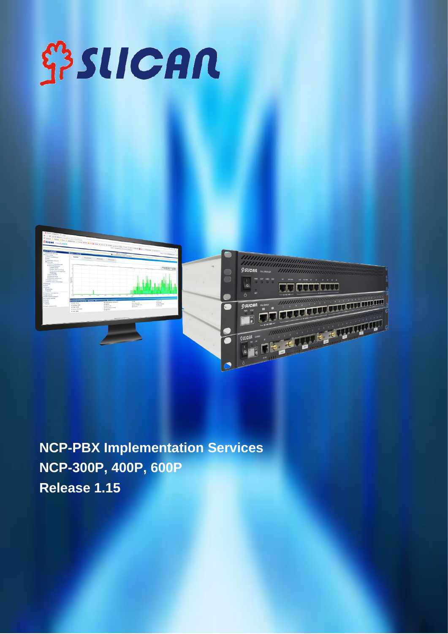# **SPSLICAN**



**NCP-PBX Implementation Services NCP-300P, 400P, 600P Release 1.15**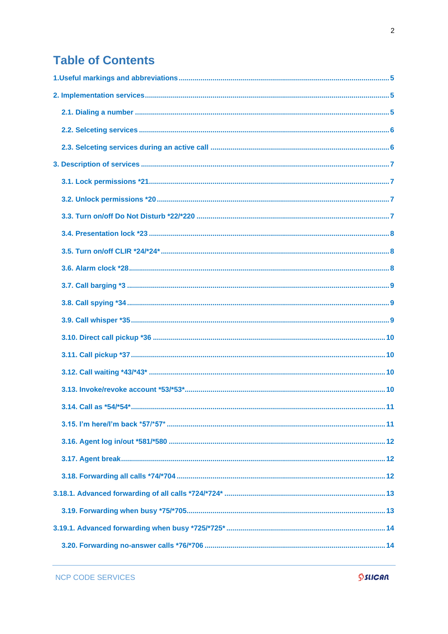## **Table of Contents**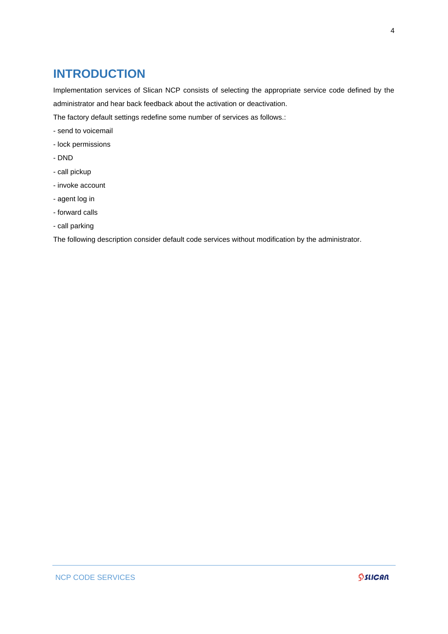## **INTRODUCTION**

Implementation services of Slican NCP consists of selecting the appropriate service code defined by the administrator and hear back feedback about the activation or deactivation.

- The factory default settings redefine some number of services as follows.:
- send to voicemail
- lock permissions
- DND
- call pickup
- invoke account
- agent log in
- forward calls
- call parking

The following description consider default code services without modification by the administrator.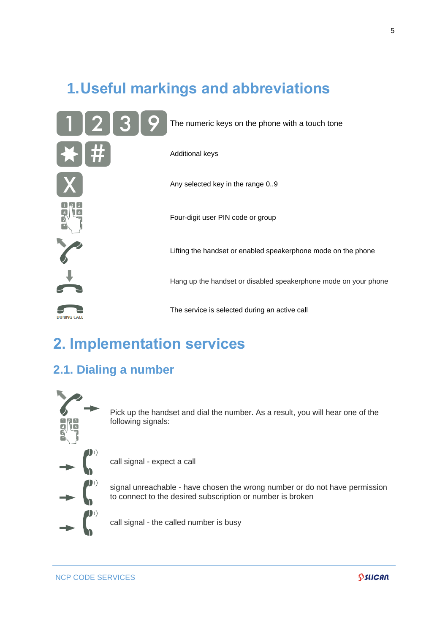## <span id="page-4-0"></span>**1.Useful markings and abbreviations**



## <span id="page-4-1"></span>**2. Implementation services**

## <span id="page-4-2"></span>**2.1. Dialing a number**



Pick up the handset and dial the number. As a result, you will hear one of the following signals:

call signal - expect a call

signal unreachable - have chosen the wrong number or do not have permission to connect to the desired subscription or number is broken

call signal - the called number is busy

NCP CODE SERVICES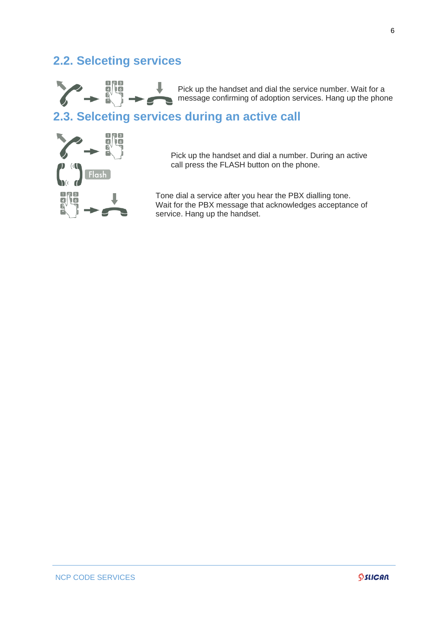## <span id="page-5-0"></span>**2.2. Selceting services**



Pick up the handset and dial the service number. Wait for a message confirming of adoption services. Hang up the phone

## <span id="page-5-1"></span>**2.3. Selceting services during an active call**



 Pick up the handset and dial a number. During an active call press the FLASH button on the phone.

Tone dial a service after you hear the PBX dialling tone. Wait for the PBX message that acknowledges acceptance of service. Hang up the handset.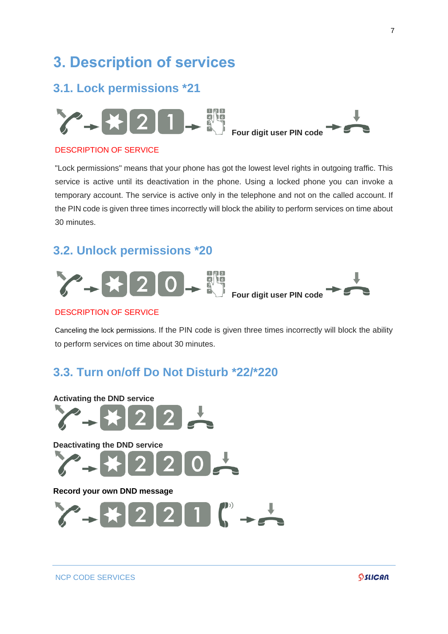## <span id="page-6-0"></span>**3. Description of services**

## <span id="page-6-1"></span>**3.1. Lock permissions \*21**



#### DESCRIPTION OF SERVICE

"Lock permissions" means that your phone has got the lowest level rights in outgoing traffic. This service is active until its deactivation in the phone. Using a locked phone you can invoke a temporary account. The service is active only in the telephone and not on the called account. If the PIN code is given three times incorrectly will block the ability to perform services on time about 30 minutes.

## <span id="page-6-2"></span>**3.2. Unlock permissions \*20**



#### DESCRIPTION OF SERVICE

Canceling the lock permissions. If the PIN code is given three times incorrectly will block the ability to perform services on time about 30 minutes.

## <span id="page-6-3"></span>**3.3. Turn on/off Do Not Disturb \*22/\*220**

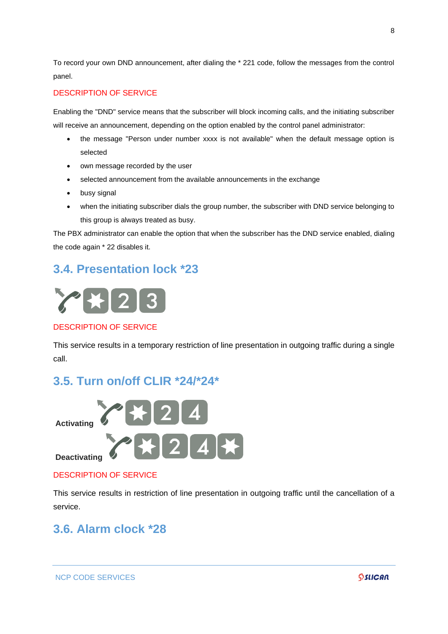To record your own DND announcement, after dialing the \* 221 code, follow the messages from the control panel.

#### DESCRIPTION OF SERVICE

Enabling the "DND" service means that the subscriber will block incoming calls, and the initiating subscriber will receive an announcement, depending on the option enabled by the control panel administrator:

- the message "Person under number xxxx is not available" when the default message option is selected
- own message recorded by the user
- selected announcement from the available announcements in the exchange
- busy signal
- when the initiating subscriber dials the group number, the subscriber with DND service belonging to this group is always treated as busy.

The PBX administrator can enable the option that when the subscriber has the DND service enabled, dialing the code again \* 22 disables it.

## <span id="page-7-0"></span>**3.4. Presentation lock \*23**



#### DESCRIPTION OF SERVICE

This service results in a temporary restriction of line presentation in outgoing traffic during a single call.

## <span id="page-7-1"></span>**3.5. Turn on/off CLIR \*24/\*24\***



#### DESCRIPTION OF SERVICE

This service results in restriction of line presentation in outgoing traffic until the cancellation of a service.

## <span id="page-7-2"></span>**3.6. Alarm clock \*28**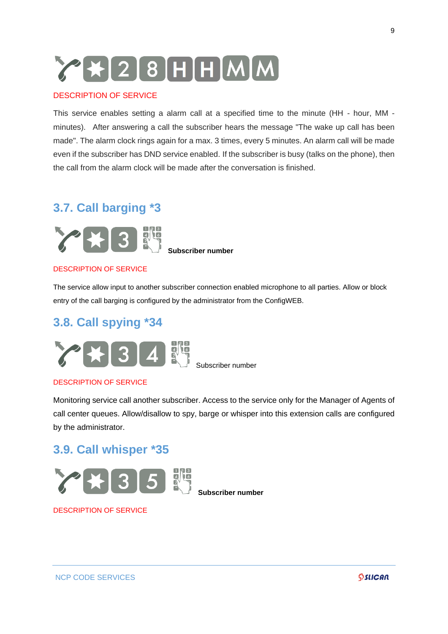## YH28HHMM

#### DESCRIPTION OF SERVICE

This service enables setting a alarm call at a specified time to the minute (HH - hour, MM minutes). After answering a call the subscriber hears the message "The wake up call has been made". The alarm clock rings again for a max. 3 times, every 5 minutes. An alarm call will be made even if the subscriber has DND service enabled. If the subscriber is busy (talks on the phone), then the call from the alarm clock will be made after the conversation is finished.

## <span id="page-8-0"></span>**3.7. Call barging \*3**



**Subscriber number**

#### DESCRIPTION OF SERVICE

The service allow input to another subscriber connection enabled microphone to all parties. Allow or block entry of the call barging is configured by the administrator from the ConfigWEB.

## <span id="page-8-1"></span>**3.8. Call spying \*34**



Subscriber number

#### DESCRIPTION OF SERVICE

Monitoring service call another subscriber. Access to the service only for the Manager of Agents of call center queues. Allow/disallow to spy, barge or whisper into this extension calls are configured by the administrator.

## <span id="page-8-2"></span>**3.9. Call whisper \*35**



DESCRIPTION OF SERVICE

#### NCP CODE SERVICES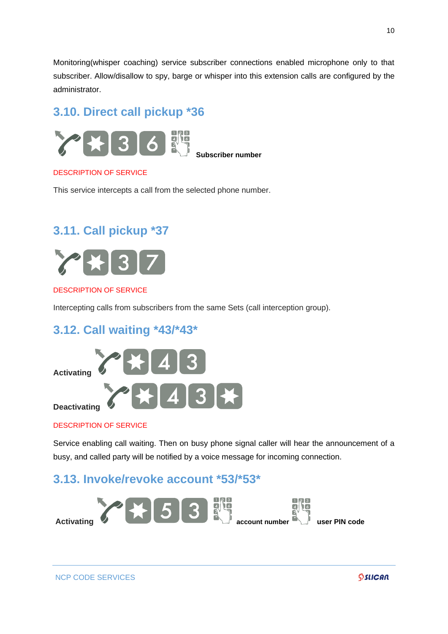Monitoring(whisper coaching) service subscriber connections enabled microphone only to that subscriber. Allow/disallow to spy, barge or whisper into this extension calls are configured by the administrator.

## <span id="page-9-0"></span>**3.10. Direct call pickup \*36**



**Subscriber number**

#### DESCRIPTION OF SERVICE

This service intercepts a call from the selected phone number.

## <span id="page-9-1"></span>**3.11. Call pickup \*37**



#### DESCRIPTION OF SERVICE

Intercepting calls from subscribers from the same Sets (call interception group).

## <span id="page-9-2"></span>**3.12. Call waiting \*43/\*43\***



#### DESCRIPTION OF SERVICE

Service enabling call waiting. Then on busy phone signal caller will hear the announcement of a busy, and called party will be notified by a voice message for incoming connection.

## <span id="page-9-3"></span>**3.13. Invoke/revoke account \*53/\*53\***

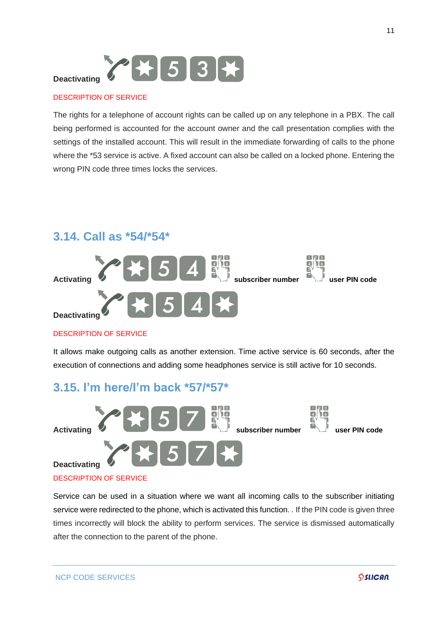

The rights for a telephone of account rights can be called up on any telephone in a PBX. The call being performed is accounted for the account owner and the call presentation complies with the settings of the installed account. This will result in the immediate forwarding of calls to the phone where the \*53 service is active. A fixed account can also be called on a locked phone. Entering the wrong PIN code three times locks the services.

## <span id="page-10-0"></span>**3.14. Call as \*54/\*54\***



#### DESCRIPTION OF SERVICE

It allows make outgoing calls as another extension. Time active service is 60 seconds, after the execution of connections and adding some headphones service is still active for 10 seconds.

## <span id="page-10-1"></span>**3.15. I'm here/I'm back \*57/\*57\***

after the connection to the parent of the phone.



## Service can be used in a situation where we want all incoming calls to the subscriber initiating service were redirected to the phone, which is activated this function. . If the PIN code is given three times incorrectly will block the ability to perform services. The service is dismissed automatically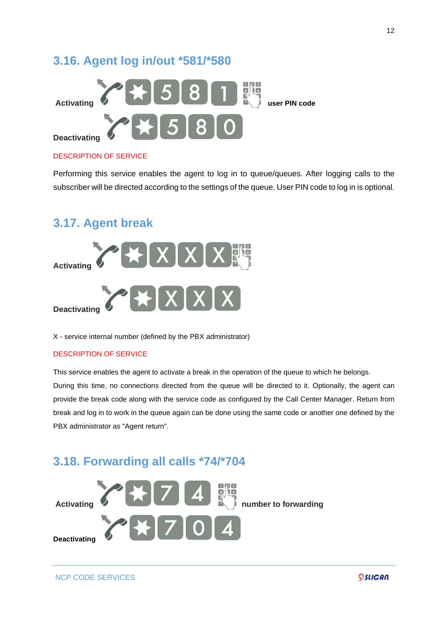## <span id="page-11-0"></span>**3.16. Agent log in/out \*581/\*580**



#### DESCRIPTION OF SERVICE

Performing this service enables the agent to log in to queue/queues. After logging calls to the subscriber will be directed according to the settings of the queue. User PIN code to log in is optional.

## <span id="page-11-1"></span>**3.17. Agent break**



X - service internal number (defined by the PBX administrator)

#### DESCRIPTION OF SERVICE

This service enables the agent to activate a break in the operation of the queue to which he belongs.

During this time, no connections directed from the queue will be directed to it. Optionally, the agent can provide the break code along with the service code as configured by the Call Center Manager. Return from break and log in to work in the queue again can be done using the same code or another one defined by the PBX administrator as "Agent return".

## <span id="page-11-2"></span>**3.18. Forwarding all calls \*74/\*704**

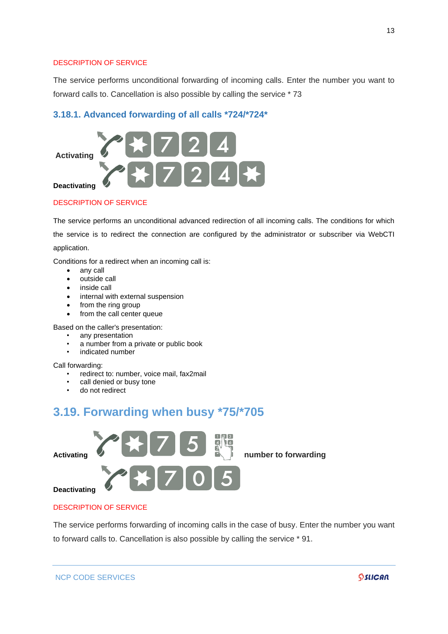The service performs unconditional forwarding of incoming calls. Enter the number you want to forward calls to. Cancellation is also possible by calling the service \* 73

#### <span id="page-12-0"></span>**3.18.1. Advanced forwarding of all calls \*724/\*724\***



#### DESCRIPTION OF SERVICE

The service performs an unconditional advanced redirection of all incoming calls. The conditions for which the service is to redirect the connection are configured by the administrator or subscriber via WebCTI application.

Conditions for a redirect when an incoming call is:

- any call
- outside call
- inside call
- internal with external suspension
- from the ring group
- from the call center queue

Based on the caller's presentation:

- any presentation
- a number from a private or public book
- indicated number

Call forwarding:

- redirect to: number, voice mail, fax2mail
- call denied or busy tone
- do not redirect

## <span id="page-12-1"></span>**3.19. Forwarding when busy \*75/\*705**



#### DESCRIPTION OF SERVICE

NCP CODE SERVICES

The service performs forwarding of incoming calls in the case of busy. Enter the number you want to forward calls to. Cancellation is also possible by calling the service \* 91.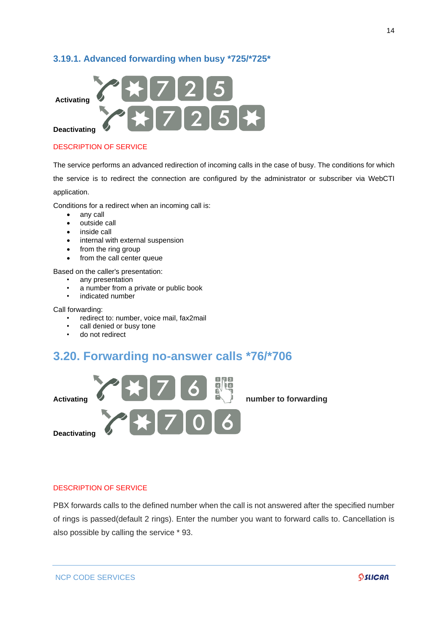#### <span id="page-13-0"></span>**3.19.1. Advanced forwarding when busy \*725/\*725\***



#### DESCRIPTION OF SERVICE

The service performs an advanced redirection of incoming calls in the case of busy. The conditions for which the service is to redirect the connection are configured by the administrator or subscriber via WebCTI application.

Conditions for a redirect when an incoming call is:

- any call
- outside call
- inside call
- internal with external suspension
- from the ring group
- from the call center queue

Based on the caller's presentation:

- any presentation
- a number from a private or public book
- indicated number

Call forwarding:

- redirect to: number, voice mail, fax2mail
- call denied or busy tone
- do not redirect

## <span id="page-13-1"></span>**3.20. Forwarding no-answer calls \*76/\*706**



#### DESCRIPTION OF SERVICE

PBX forwards calls to the defined number when the call is not answered after the specified number of rings is passed(default 2 rings). Enter the number you want to forward calls to. Cancellation is also possible by calling the service \* 93.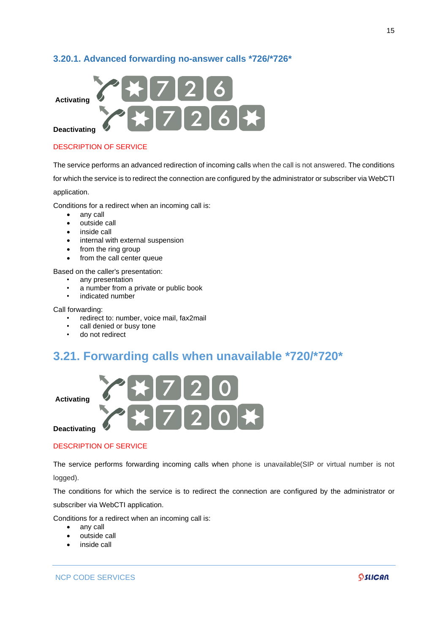#### <span id="page-14-0"></span>**3.20.1. Advanced forwarding no-answer calls \*726/\*726\***



#### DESCRIPTION OF SERVICE

The service performs an advanced redirection of incoming calls when the call is not answered. The conditions

for which the service is to redirect the connection are configured by the administrator or subscriber via WebCTI

application.

Conditions for a redirect when an incoming call is:

- any call
- outside call<br>• inside call
- inside call
- internal with external suspension
- from the ring group
- from the call center queue

Based on the caller's presentation:

- any presentation
- a number from a private or public book
- indicated number

Call forwarding:

- redirect to: number, voice mail, fax2mail
- call denied or busy tone
- do not redirect

## <span id="page-14-1"></span>**3.21. Forwarding calls when unavailable \*720/\*720\***



#### DESCRIPTION OF SERVICE

The service performs forwarding incoming calls when phone is unavailable(SIP or virtual number is not logged).

The conditions for which the service is to redirect the connection are configured by the administrator or subscriber via WebCTI application.

Conditions for a redirect when an incoming call is:

- any call
- outside call
- inside call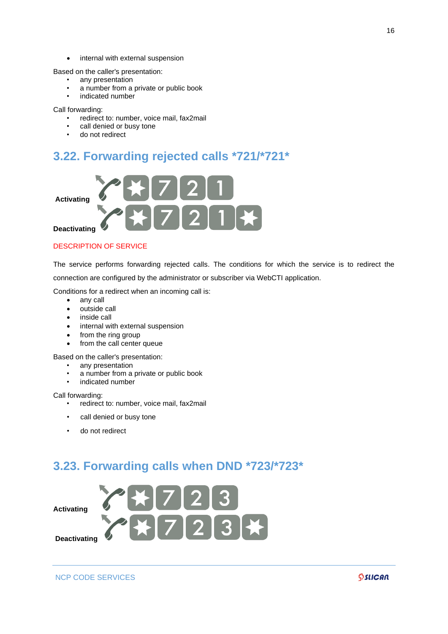• internal with external suspension

Based on the caller's presentation:

- any presentation
- a number from a private or public book
- indicated number

Call forwarding:

- redirect to: number, voice mail, fax2mail
- call denied or busy tone
- do not redirect

## <span id="page-15-0"></span>**3.22. Forwarding rejected calls \*721/\*721\***



#### DESCRIPTION OF SERVICE

The service performs forwarding rejected calls. The conditions for which the service is to redirect the connection are configured by the administrator or subscriber via WebCTI application.

Conditions for a redirect when an incoming call is:

- any call
- outside call
- inside call
- internal with external suspension
- from the ring group
- from the call center queue

Based on the caller's presentation:

- any presentation
- a number from a private or public book
- indicated number

Call forwarding:

- redirect to: number, voice mail, fax2mail
- call denied or busy tone
- do not redirect

## <span id="page-15-1"></span>**3.23. Forwarding calls when DND \*723/\*723\***

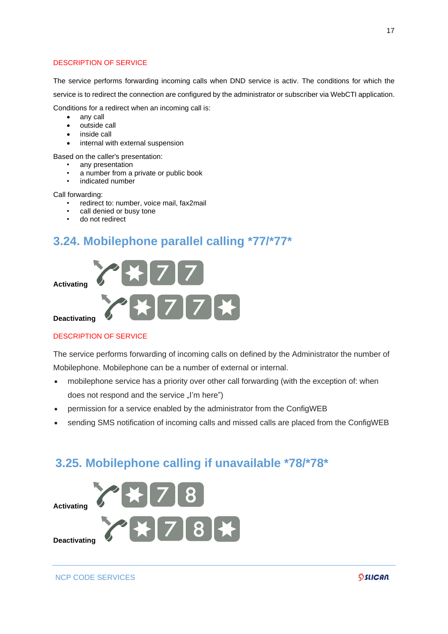The service performs forwarding incoming calls when DND service is activ. The conditions for which the service is to redirect the connection are configured by the administrator or subscriber via WebCTI application. Conditions for a redirect when an incoming call is:

- any call
- outside call
- inside call
- internal with external suspension
- Based on the caller's presentation:
	- any presentation
	- a number from a private or public book
	- indicated number

Call forwarding:

- redirect to: number, voice mail, fax2mail
- call denied or busy tone
- do not redirect

## <span id="page-16-0"></span>**3.24. Mobilephone parallel calling \*77/\*77\***



#### DESCRIPTION OF SERVICE

The service performs forwarding of incoming calls on defined by the Administrator the number of Mobilephone. Mobilephone can be a number of external or internal.

- mobilephone service has a priority over other call forwarding (with the exception of: when does not respond and the service "I'm here")
- permission for a service enabled by the administrator from the ConfigWEB
- sending SMS notification of incoming calls and missed calls are placed from the ConfigWEB

## <span id="page-16-1"></span>**3.25. Mobilephone calling if unavailable \*78/\*78\***

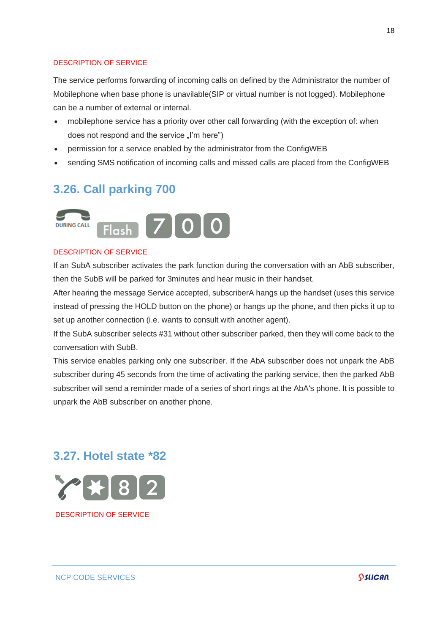The service performs forwarding of incoming calls on defined by the Administrator the number of Mobilephone when base phone is unavilable(SIP or virtual number is not logged). Mobilephone can be a number of external or internal.

- mobilephone service has a priority over other call forwarding (with the exception of: when does not respond and the service "I'm here")
- permission for a service enabled by the administrator from the ConfigWEB
- sending SMS notification of incoming calls and missed calls are placed from the ConfigWEB

## <span id="page-17-0"></span>**3.26. Call parking 700**



#### DESCRIPTI[ON OF SERVIC](http://pubwiki.slican.pl/index.php/Plik:Flash_p.png)E

If an SubA subscriber activates the park function during the conversation with an AbB subscriber, then the SubB will be parked for 3minutes and hear music in their handset.

After hearing the message Service accepted, subscriberA hangs up the handset (uses this service instead of pressing the HOLD button on the phone) or hangs up the phone, and then picks it up to set up another connection (i.e. wants to consult with another agent).

If the SubA subscriber selects #31 without other subscriber parked, then they will come back to the conversation with SubB.

This service enables parking only one subscriber. If the AbA subscriber does not unpark the AbB subscriber during 45 seconds from the time of activating the parking service, then the parked AbB subscriber will send a reminder made of a series of short rings at the AbA's phone. It is possible to unpark the AbB subscriber on another phone.

## <span id="page-17-1"></span>**3.27. Hotel state \*82**



DESCRIPTION OF SERVICE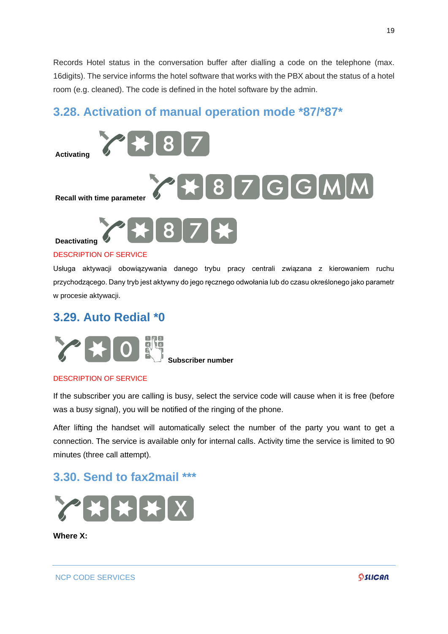Records Hotel status in the conversation buffer after dialling a code on the telephone (max. 16digits). The service informs the hotel software that works with the PBX about the status of a hotel room (e.g. cleaned). The code is defined in the hotel software by the admin.

## <span id="page-18-0"></span>**3.28. Activation of manual operation mode \*87/\*87\***



#### DESCRIPTION OF SERVICE

Usługa aktywacji obowiązywania danego trybu pracy centrali związana z kierowaniem ruchu przychodzącego. Dany tryb jest aktywny do jego ręcznego odwołania lub do czasu określonego jako parametr w procesie aktywacji.

### <span id="page-18-1"></span>**3.29. Auto Redial \*0**



**[S](http://pubwiki.slican.pl/index.php/Plik:Numeryczna_p.png)ubscriber number**

#### DESCRIPTION OF SERVICE

If the subscriber you are calling is busy, select the service code will cause when it is free (before was a busy signal), you will be notified of the ringing of the phone.

After lifting the handset will automatically select the number of the party you want to get a connection. The service is available only for internal calls. Activity time the service is limited to 90 minutes (three call attempt).

## <span id="page-18-2"></span>**3.30. Send to fax2mail \*\*\***



**Where X:**

NCP CODE SERVICES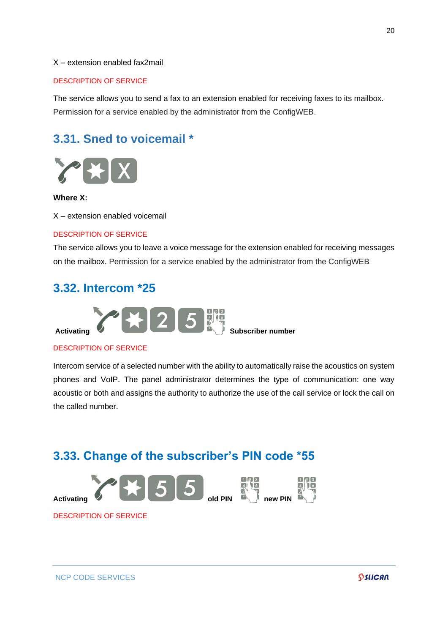#### X – extension enabled fax2mail

#### DESCRIPTION OF SERVICE

The service allows you to send a fax to an extension enabled for receiving faxes to its mailbox. Permission for a service enabled by the administrator from the ConfigWEB.

## <span id="page-19-0"></span>**3.31. Sned to voicemail \***



#### **Where X:**

X – extension enabled voicemail

#### DESCRIPTION OF SERVICE

The service allows you to leave a voice message for the extension enabled for receiving messages on the mailbox. Permission for a service enabled by the administrator from the ConfigWEB

## <span id="page-19-1"></span>**3.32. Intercom \*25**



#### DESCRIPTION OF SERVICE

Intercom service of a selected number with the ability to automatically raise the acoustics on system phones and VoIP. The panel administrator determines the type of communication: one way acoustic or both and assigns the authority to authorize the use of the call service or lock the call on the called number.

## <span id="page-19-2"></span>**3.33. Change of the subscriber's PIN code \*55**



DESCRIPTION OF SERVICE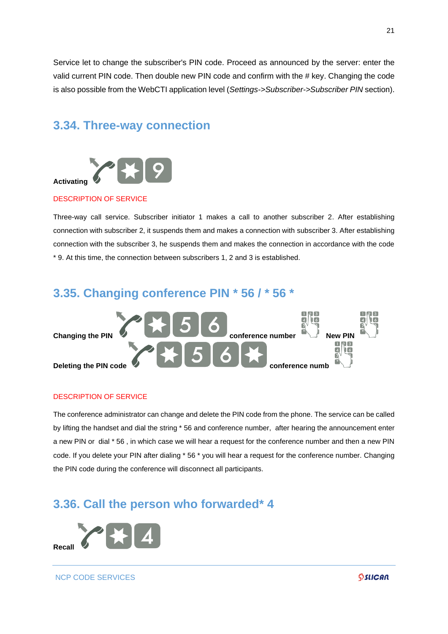Service let to change the subscriber's PIN code. Proceed as announced by the server: enter the valid current PIN code. Then double new PIN code and confirm with the # key. Changing the code is also possible from the WebCTI application level (*Settings->Subscriber->Subscriber PIN* section).

## <span id="page-20-0"></span>**3.34. Three-way connection**



#### DESCRIPTION OF SERVICE

Three-way call service. Subscriber initiator 1 makes a call to another subscriber 2. After establishing connection with subscriber 2, it suspends them and makes a connection with subscriber 3. After establishing connection with the subscriber 3, he suspends them and makes the connection in accordance with the code \* 9. At this time, the connection between subscribers 1, 2 and 3 is established.

## <span id="page-20-1"></span>**3.35. Changing conference PIN \* 56 / \* 56 \***



#### DESCRIPTION OF SERVICE

The conference administrator can change and delete the PIN code from the phone. The service can be called by lifting the handset and dial the string \* 56 and conference number, after hearing the announcement enter a new PIN or dial \* 56 , in which case we will hear a request for the conference number and then a new PIN code. If you delete your PIN after dialing \* 56 \* you will hear a request for the conference number. Changing the PIN code during the conference will disconnect all participants.

## <span id="page-20-2"></span>**3.36. Call the person who forwarded\* 4**



NCP CODE SERVICES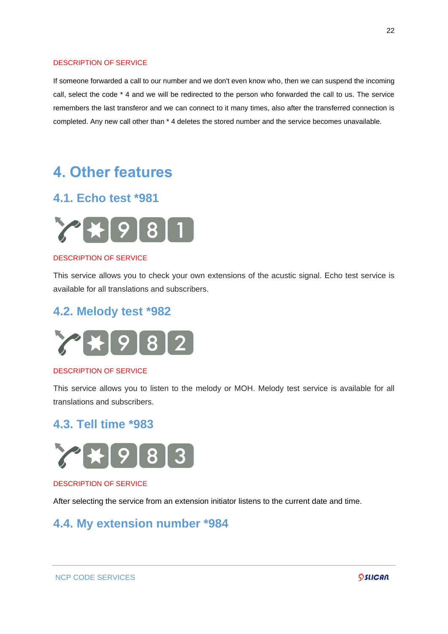If someone forwarded a call to our number and we don't even know who, then we can suspend the incoming call, select the code \* 4 and we will be redirected to the person who forwarded the call to us. The service remembers the last transferor and we can connect to it many times, also after the transferred connection is completed. Any new call other than \* 4 deletes the stored number and the service becomes unavailable.

## <span id="page-21-0"></span>**4. Other features**

## <span id="page-21-1"></span>**4.1. Echo test \*981**



#### DESCRIPTION OF SERVICE

This service allows you to check your own extensions of the acustic signal. Echo test service is available for all translations and subscribers.

## <span id="page-21-2"></span>**4.2. Melody test \*982**



#### DESCRIPTION OF SERVICE

This service allows you to listen to the melody or MOH. Melody test service is available for all translations and subscribers.

### <span id="page-21-3"></span>**4.3. Tell time \*983**



#### DESCRIPTION OF SERVICE

After selecting the service from an extension initiator listens to the current date and time.

## <span id="page-21-4"></span>**4.4. My extension number \*984**